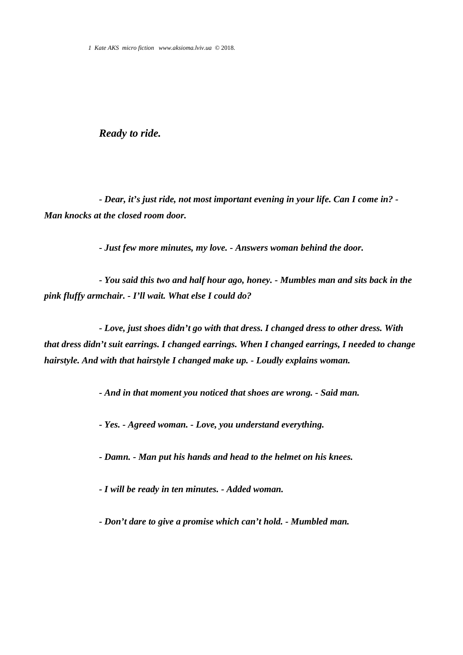## *Ready to ride.*

*- Dear, it's just ride, not most important evening in your life. Can I come in? - Man knocks at the closed room door.*

*- Just few more minutes, my love. - Answers woman behind the door.*

*- You said this two and half hour ago, honey. - Mumbles man and sits back in the pink fluffy armchair. - I'll wait. What else I could do?*

*- Love, just shoes didn't go with that dress. I changed dress to other dress. With that dress didn't suit earrings. I changed earrings. When I changed earrings, I needed to change hairstyle. And with that hairstyle I changed make up. - Loudly explains woman.*

*- And in that moment you noticed that shoes are wrong. - Said man.*

*- Yes. - Agreed woman. - Love, you understand everything.*

*- Damn. - Man put his hands and head to the helmet on his knees.*

*- I will be ready in ten minutes. - Added woman.*

*- Don't dare to give a promise which can't hold. - Mumbled man.*